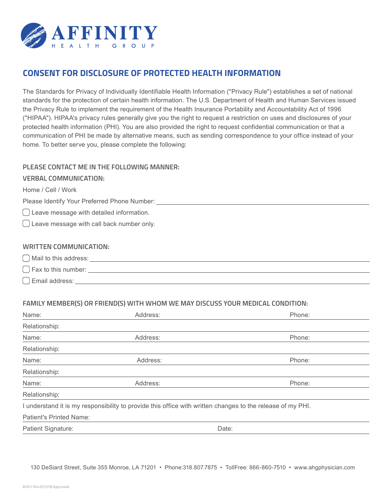

# **CONSENT FOR DISCLOSURE OF PROTECTED HEALTH INFORMATION**

The Standards for Privacy of Individually Identifiable Health Information ("Privacy Rule") establishes a set of national standards for the protection of certain health information. The U.S. Department of Health and Human Services issued the Privacy Rule to implement the requirement of the Health Insurance Portability and Accountability Act of 1996 ("HIPAA"). HIPAA's privacy rules generally give you the right to request a restriction on uses and disclosures of your protected health information (PHI). You are also provided the right to request confidential communication or that a communication of PHI be made by alternative means, such as sending correspondence to your office instead of your home. To better serve you, please complete the following:

# **PLEASE CONTACT ME IN THE FOLLOWING MANNER:**

### **VERBAL COMMUNICATION:**

Home / Cell / Work

Please Identify Your Preferred Phone Number:

Leave message with detailed information.

Leave message with call back number only.

### **WRITTEN COMMUNICATION:**

| $\bigcap$ Mail to this address: |  |
|---------------------------------|--|
| $\bigcap$ Fax to this number:   |  |
| Email address:                  |  |

# **FAMILY MEMBER(S) OR FRIEND(S) WITH WHOM WE MAY DISCUSS YOUR MEDICAL CONDITION:**

| Name:                          | Address: | Phone:                                                                                                     |
|--------------------------------|----------|------------------------------------------------------------------------------------------------------------|
| Relationship:                  |          |                                                                                                            |
| Name:                          | Address: | Phone:                                                                                                     |
| Relationship:                  |          |                                                                                                            |
| Name:                          | Address: | Phone:                                                                                                     |
| Relationship:                  |          |                                                                                                            |
| Name:                          | Address: | Phone:                                                                                                     |
| Relationship:                  |          |                                                                                                            |
|                                |          | I understand it is my responsibility to provide this office with written changes to the release of my PHI. |
| <b>Patient's Printed Name:</b> |          |                                                                                                            |
| Patient Signature:             |          | Date:                                                                                                      |

130 DeSiard Street, Suite 355 Monroe, LA 71201 • Phone:318.807.7875 • TollFree: 866-860-7510 • www.ahgphysician.com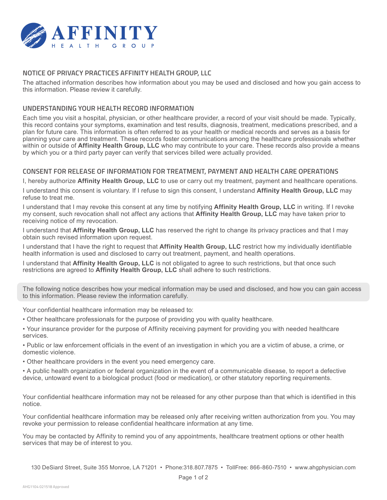

# **NOTICE OF PRIVACY PRACTICES AFFINITY HEALTH GROUP, LLC**

The attached information describes how information about you may be used and disclosed and how you gain access to this information. Please review it carefully.

### **UNDERSTANDING YOUR HEALTH RECORD INFORMATION**

Each time you visit a hospital, physician, or other healthcare provider, a record of your visit should be made. Typically, this record contains your symptoms, examination and test results, diagnosis, treatment, medications prescribed, and a plan for future care. This information is often referred to as your health or medical records and serves as a basis for planning your care and treatment. These records foster communications among the healthcare professionals whether within or outside of **Affinity Health Group, LLC** who may contribute to your care. These records also provide a means by which you or a third party payer can verify that services billed were actually provided.

### **CONSENT FOR RELEASE OF INFORMATION FOR TREATMENT, PAYMENT AND HEALTH CARE OPERATIONS**

I, hereby authorize **Affinity Health Group, LLC** to use or carry out my treatment, payment and healthcare operations.

I understand this consent is voluntary. If I refuse to sign this consent, I understand **Affinity Health Group, LLC** may refuse to treat me.

I understand that I may revoke this consent at any time by notifying **Affinity Health Group, LLC** in writing. If I revoke my consent, such revocation shall not affect any actions that **Affinity Health Group, LLC** may have taken prior to receiving notice of my revocation.

I understand that **Affinity Health Group, LLC** has reserved the right to change its privacy practices and that I may obtain such revised information upon request.

I understand that I have the right to request that **Affinity Health Group, LLC** restrict how my individually identifiable health information is used and disclosed to carry out treatment, payment, and health operations.

I understand that **Affinity Health Group, LLC** is not obligated to agree to such restrictions, but that once such restrictions are agreed to **Affinity Health Group, LLC** shall adhere to such restrictions.

The following notice describes how your medical information may be used and disclosed, and how you can gain access to this information. Please review the information carefully.

Your confidential healthcare information may be released to:

- Other healthcare professionals for the purpose of providing you with quality healthcare.
- Your insurance provider for the purpose of Affinity receiving payment for providing you with needed healthcare services.

• Public or law enforcement officials in the event of an investigation in which you are a victim of abuse, a crime, or domestic violence.

• Other healthcare providers in the event you need emergency care.

• A public health organization or federal organization in the event of a communicable disease, to report a defective device, untoward event to a biological product (food or medication), or other statutory reporting requirements.

Your confidential healthcare information may not be released for any other purpose than that which is identified in this notice.

Your confidential healthcare information may be released only after receiving written authorization from you. You may revoke your permission to release confidential healthcare information at any time.

You may be contacted by Affinity to remind you of any appointments, healthcare treatment options or other health services that may be of interest to you.

130 DeSiard Street, Suite 355 Monroe, LA 71201 • Phone:318.807.7875 • TollFree: 866-860-7510 • www.ahgphysician.com